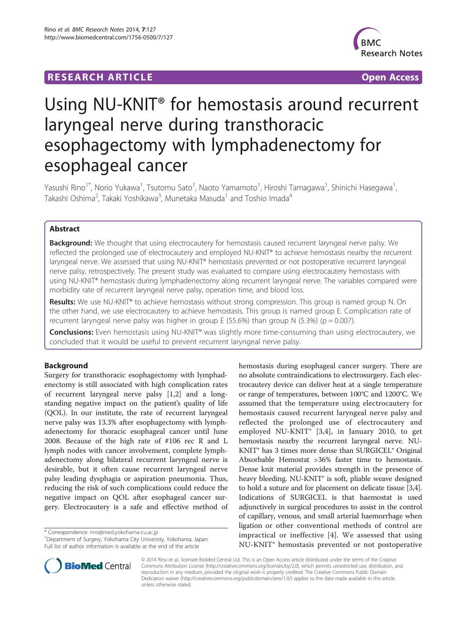## **RESEARCH ARTICLE Example 2018 12:00 Department of the CONNECTION CONNECTION CONNECTION CONNECTION**



# Using NU-KNIT® for hemostasis around recurrent laryngeal nerve during transthoracic esophagectomy with lymphadenectomy for esophageal cancer

Yasushi Rino<sup>1\*</sup>, Norio Yukawa<sup>1</sup>, Tsutomu Sato<sup>1</sup>, Naoto Yamamoto<sup>1</sup>, Hiroshi Tamagawa<sup>1</sup>, Shinichi Hasegawa<sup>1</sup> , Takashi Oshima<sup>2</sup>, Takaki Yoshikawa<sup>3</sup>, Munetaka Masuda<sup>1</sup> and Toshio Imada<sup>4</sup>

## Abstract

Background: We thought that using electrocautery for hemostasis caused recurrent laryngeal nerve palsy. We reflected the prolonged use of electrocautery and employed NU-KNIT® to achieve hemostasis nearby the recurrent laryngeal nerve. We assessed that using NU-KNIT® hemostasis prevented or not postoperative recurrent laryngeal nerve palsy, retrospectively. The present study was evaluated to compare using electrocautery hemostasis with using NU-KNIT® hemostasis during lymphadenectomy along recurrent laryngeal nerve. The variables compared were morbidity rate of recurrent laryngeal nerve palsy, operation time, and blood loss.

Results: We use NU-KNIT® to achieve hemostasis without strong compression. This group is named group N. On the other hand, we use electrocautery to achieve hemostasis. This group is named group E. Complication rate of recurrent laryngeal nerve palsy was higher in group E (55.6%) than group N (5.3%) (p = 0.007).

Conclusions: Even hemostasis using NU-KNIT® was slightly more time-consuming than using electrocautery, we concluded that it would be useful to prevent recurrent laryngeal nerve palsy.

## Background

Surgery for transthoracic esophagectomy with lymphadenectomy is still associated with high complication rates of recurrent laryngeal nerve palsy [\[1,2](#page-3-0)] and a longstanding negative impact on the patient's quality of life (QOL). In our institute, the rate of recurrent laryngeal nerve palsy was 13.3% after esophagectomy with lymphadenectomy for thoracic esophageal cancer until June 2008. Because of the high rate of #106 rec R and L lymph nodes with cancer involvement, complete lymphadenectomy along bilateral recurrent laryngeal nerve is desirable, but it often cause recurrent laryngeal nerve palsy leading dysphagia or aspiration pneumonia. Thus, reducing the risk of such complications could reduce the negative impact on QOL after esophageal cancer surgery. Electrocautery is a safe and effective method of

\* Correspondence: [rino@med.yokohama-cu.ac.jp](mailto:rino@med.yokohama-cu.ac.jp) <sup>1</sup>

<sup>1</sup>Department of Surgery, Yokohama City University, Yokohama, Japan Full list of author information is available at the end of the article





© 2014 Rino et al.; licensee BioMed Central Ltd. This is an Open Access article distributed under the terms of the Creative Commons Attribution License [\(http://creativecommons.org/licenses/by/2.0\)](http://creativecommons.org/licenses/by/2.0), which permits unrestricted use, distribution, and reproduction in any medium, provided the original work is properly credited. The Creative Commons Public Domain Dedication waiver [\(http://creativecommons.org/publicdomain/zero/1.0/](http://creativecommons.org/publicdomain/zero/1.0/)) applies to the data made available in this article, unless otherwise stated.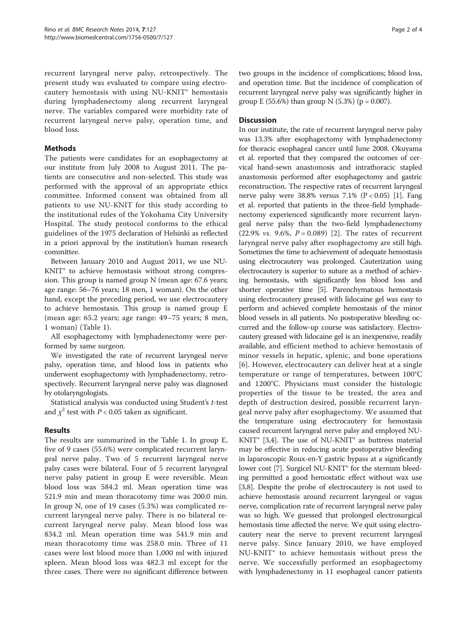recurrent laryngeal nerve palsy, retrospectively. The present study was evaluated to compare using electrocautery hemostasis with using NU-KNIT® hemostasis during lymphadenectomy along recurrent laryngeal nerve. The variables compared were morbidity rate of recurrent laryngeal nerve palsy, operation time, and blood loss.

## Methods

The patients were candidates for an esophagectomy at our institute from July 2008 to August 2011. The patients are consecutive and non-selected. This study was performed with the approval of an appropriate ethics committee. Informed consent was obtained from all patients to use NU-KNIT for this study according to the institutional rules of the Yokohama City University Hospital. The study protocol conforms to the ethical guidelines of the 1975 declaration of Helsinki as reflected in a priori approval by the institution's human research committee.

Between January 2010 and August 2011, we use NU-KNIT<sup>®</sup> to achieve hemostasis without strong compression. This group is named group N (mean age: 67.6 years; age range: 56–76 years; 18 men, 1 woman). On the other hand, except the preceding period, we use electrocautery to achieve hemostasis. This group is named group E (mean age: 65.2 years; age range: 49–75 years; 8 men, 1 woman) (Table [1](#page-2-0)).

All esophagectomy with lymphadenectomy were performed by same surgeon.

We investigated the rate of recurrent laryngeal nerve palsy, operation time, and blood loss in patients who underwent esophagectomy with lymphadenectomy, retrospectively. Recurrent laryngeal nerve palsy was diagnosed by otolaryngologists.

Statistical analysis was conducted using Student's t-test and  $\chi^2$  test with *P* < 0.05 taken as significant.

## Results

The results are summarized in the Table [1](#page-2-0). In group E, five of 9 cases (55.6%) were complicated recurrent laryngeal nerve palsy. Two of 5 recurrent laryngeal nerve palsy cases were bilateral. Four of 5 recurrent laryngeal nerve palsy patient in group E were reversible. Mean blood loss was 584.2 ml. Mean operation time was 521.9 min and mean thoracotomy time was 200.0 min. In group N, one of 19 cases (5.3%) was complicated recurrent laryngeal nerve palsy. There is no bilateral recurrent laryngeal nerve palsy. Mean blood loss was 834.2 ml. Mean operation time was 541.9 min and mean thoracotomy time was 258.0 min. Three of 11 cases were lost blood more than 1,000 ml with injured spleen. Mean blood loss was 482.3 ml except for the three cases. There were no significant difference between two groups in the incidence of complications; blood loss, and operation time. But the incidence of complication of recurrent laryngeal nerve palsy was significantly higher in group E (55.6%) than group N (5.3%) ( $p = 0.007$ ).

### **Discussion**

In our institute, the rate of recurrent laryngeal nerve palsy was 13.3% after esophagectomy with lymphadenectomy for thoracic esophageal cancer until June 2008. Okuyama et al. reported that they compared the outcomes of cervical hand-sewn anastomosis and intrathoracic stapled anastomosis performed after esophagectomy and gastric reconstruction. The respective rates of recurrent laryngeal nerve palsy were  $38.8\%$  versus  $7.1\%$  (P < 0.05) [[1\]](#page-3-0). Fang et al. reported that patients in the three-field lymphadenectomy experienced significantly more recurrent laryngeal nerve palsy than the two-field lymphadenectomy (22.9% *vs.* 9.6%,  $P = 0.089$ ) [[2\]](#page-3-0). The rates of recurrent laryngeal nerve palsy after esophagectomy are still high. Sometimes the time to achievement of adequate hemostasis using electrocautery was prolonged. Cauterization using electrocautery is superior to suture as a method of achieving hemostasis, with significantly less blood loss and shorter operative time [\[5\]](#page-3-0). Parenchymatous hemostasis using electrocautery greased with lidocaine gel was easy to perform and achieved complete hemostasis of the minor blood vessels in all patients. No postoperative bleeding occurred and the follow-up course was satisfactory. Electrocautery greased with lidocaine gel is an inexpensive, readily available, and efficient method to achieve hemostasis of minor vessels in hepatic, splenic, and bone operations [[6](#page-3-0)]. However, electrocautery can deliver heat at a single temperature or range of temperatures, between 100°C and 1200°C. Physicians must consider the histologic properties of the tissue to be treated, the area and depth of destruction desired, possible recurrent laryngeal nerve palsy after esophagectomy. We assumed that the temperature using electrocautery for hemostasis caused recurrent laryngeal nerve palsy and employed NU- $KNIT^{\circ}$  [\[3,4](#page-3-0)]. The use of NU-KNIT<sup>®</sup> as buttress material may be effective in reducing acute postoperative bleeding in laparoscopic Roux-en-Y gastric bypass at a significantly lower cost [\[7](#page-3-0)]. Surgicel NU-KNIT<sup>®</sup> for the sternum bleeding permitted a good hemostatic effect without wax use [[3,8\]](#page-3-0). Despite the probe of electrocautery is not used to achieve hemostasis around recurrent laryngeal or vagus nerve, complication rate of recurrent laryngeal nerve palsy was so high. We guessed that prolonged electrosurgical hemostasis time affected the nerve. We quit using electrocautery near the nerve to prevent recurrent laryngeal nerve palsy. Since January 2010, we have employed NU-KNIT® to achieve hemostasis without press the nerve. We successfully performed an esophagectomy with lymphadenectomy in 11 esophageal cancer patients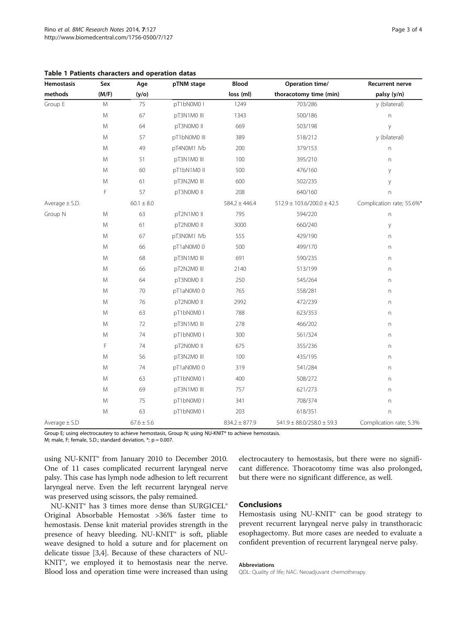| Hemostasis         | Sex       | Age            | pTNM stage   | Blood             | Operation time/                   | <b>Recurrent nerve</b>         |  |
|--------------------|-----------|----------------|--------------|-------------------|-----------------------------------|--------------------------------|--|
| methods            | (M/F)     | (y/o)          |              | loss (ml)         | thoracotomy time (min)            | palsy (y/n)                    |  |
| Group E            | M         | 75             | pT1bN0M0     | 1249              | 703/286                           | y (bilateral)                  |  |
|                    | M         | 67             | pT3N1M0 III  | 1343              | 500/186                           | n                              |  |
|                    | M         | 64             | pT3N0M0 II   | 669               | 503/198                           | у                              |  |
|                    | ${\sf M}$ | 57             | pT1bN0M0 III | 389               | 518/212                           | y (bilateral)                  |  |
|                    | M         | 49             | pT4N0M1 IVb  | 200               | 379/153                           | $\boldsymbol{\mathsf{\Gamma}}$ |  |
|                    | M         | 51             | pT3N1M0 III  | 100               | 395/210                           | n                              |  |
|                    | M         | 60             | pT1bN1M0 II  | 500               | 476/160                           | у                              |  |
|                    | M         | 61             | pT3N2M0 III  | 600               | 502/235                           | у                              |  |
|                    | F         | 57             | pT3N0M0 II   | 208               | 640/160                           | $\overline{n}$                 |  |
| Average $\pm$ S.D. |           | $60.1 \pm 8.0$ |              | $584.2 \pm 446.4$ | $512.9 \pm 103.6/200.0 \pm 42.5$  | Complication rate; 55.6%*      |  |
| Group N            | M         | 63             | pT2N1M0 II   | 795               | 594/220                           | n                              |  |
|                    | M         | 61             | pT2N0M0 II   | 3000              | 660/240                           | у                              |  |
|                    | M         | 67             | pT3N0M1 IVb  | 555               | 429/190                           | n                              |  |
|                    | M         | 66             | pT1aN0M00    | 500               | 499/170                           | n                              |  |
|                    | ${\sf M}$ | 68             | pT3N1M0 III  | 691               | 590/235                           | $\boldsymbol{\mathsf{n}}$      |  |
|                    | ${\sf M}$ | 66             | pT2N2M0 III  | 2140              | 513/199                           | $\boldsymbol{\mathsf{n}}$      |  |
|                    | M         | 64             | pT3N0M0 II   | 250               | 545/264                           | n                              |  |
|                    | M         | 70             | pT1aN0M00    | 765               | 558/281                           | $\boldsymbol{\mathsf{n}}$      |  |
|                    | M         | 76             | pT2N0M0 II   | 2992              | 472/239                           | n                              |  |
|                    | ${\sf M}$ | 63             | pT1bN0M0 I   | 788               | 623/353                           | $\boldsymbol{\mathsf{\Gamma}}$ |  |
|                    | M         | 72             | pT3N1M0 III  | 278               | 466/202                           | $\boldsymbol{\mathsf{n}}$      |  |
|                    | M         | 74             | pT1bN0M0 I   | 300               | 561/324                           | $\boldsymbol{\mathsf{n}}$      |  |
|                    | F         | 74             | pT2N0M0 II   | 675               | 355/236                           | $\boldsymbol{\mathsf{n}}$      |  |
|                    | ${\sf M}$ | 56             | pT3N2M0 III  | 100               | 435/195                           | n                              |  |
|                    | M         | 74             | pT1aN0M00    | 319               | 541/284                           | n                              |  |
|                    | M         | 63             | pT1bN0M0 I   | 400               | 508/272                           | n                              |  |
|                    | ${\sf M}$ | 69             | pT3N1M0 III  | 757               | 621/273                           | $\boldsymbol{\mathsf{n}}$      |  |
|                    | M         | 75             | pT1bN0M0 I   | 341               | 708/374                           | $\boldsymbol{\mathsf{\Gamma}}$ |  |
|                    | M         | 63             | pT1bN0M0 I   | 203               | 618/351                           | $\Gamma$                       |  |
| Average $\pm$ S.D  |           | $67.6 \pm 5.6$ |              | $834.2 \pm 877.9$ | $541.9 \pm 88.0 / 258.0 \pm 59.3$ | Complication rate; 5.3%        |  |

<span id="page-2-0"></span>

|  |  |  | Table 1 Patients characters and operation datas |  |  |  |
|--|--|--|-------------------------------------------------|--|--|--|
|--|--|--|-------------------------------------------------|--|--|--|

Group E; using electrocautery to achieve hemostasis, Group N; using NU-KNIT® to achieve hemostasis.

M; male, F; female, S.D.; standard deviation,  $*$ ;  $p = 0.007$ .

using NU-KNIT® from January 2010 to December 2010. One of 11 cases complicated recurrent laryngeal nerve palsy. This case has lymph node adhesion to left recurrent laryngeal nerve. Even the left recurrent laryngeal nerve was preserved using scissors, the palsy remained.

NU-KNIT® has 3 times more dense than SURGICEL® Original Absorbable Hemostat >36% faster time to hemostasis. Dense knit material provides strength in the presence of heavy bleeding. NU-KNIT® is soft, pliable weave designed to hold a suture and for placement on delicate tissue [\[3,4](#page-3-0)]. Because of these characters of NU-KNIT®, we employed it to hemostasis near the nerve. Blood loss and operation time were increased than using

electrocautery to hemostasis, but there were no significant difference. Thoracotomy time was also prolonged, but there were no significant difference, as well.

## Conclusions

Hemostasis using NU-KNIT® can be good strategy to prevent recurrent laryngeal nerve palsy in transthoracic esophagectomy. But more cases are needed to evaluate a confident prevention of recurrent laryngeal nerve palsy.

#### Abbreviations

QOL: Quality of life; NAC: Neoadjuvant chemotherapy.